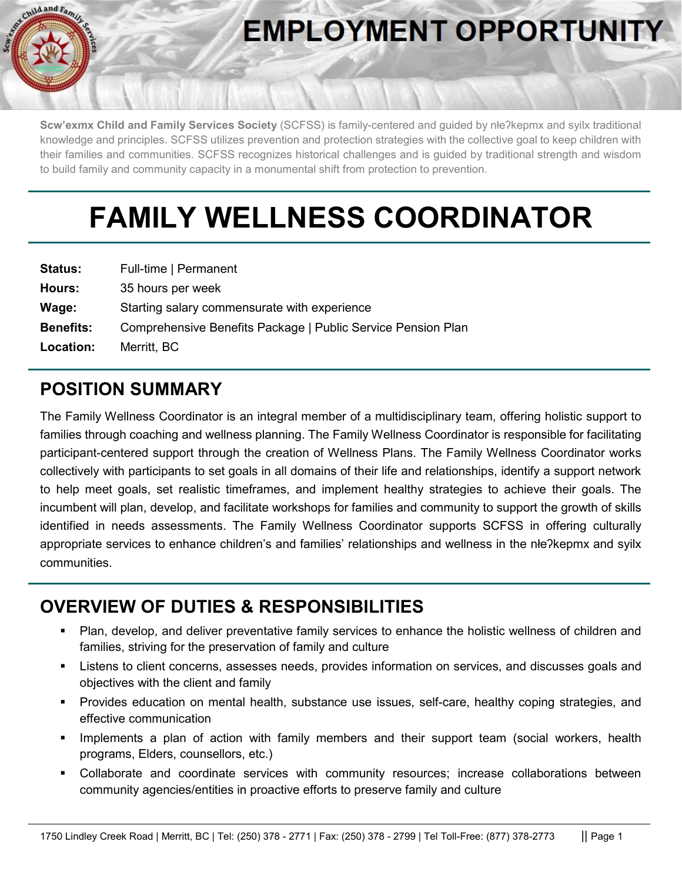

# **EMPLOYMENT OPPORTUNITY**

**Scw'exmx Child and Family Services Society** (SCFSS) is family-centered and guided by nłeʔkepmx and syilx traditional knowledge and principles. SCFSS utilizes prevention and protection strategies with the collective goal to keep children with their families and communities. SCFSS recognizes historical challenges and is guided by traditional strength and wisdom to build family and community capacity in a monumental shift from protection to prevention.

# **FAMILY WELLNESS COORDINATOR**

| <b>Status:</b>   | Full-time   Permanent                                        |
|------------------|--------------------------------------------------------------|
| Hours:           | 35 hours per week                                            |
| Wage:            | Starting salary commensurate with experience                 |
| <b>Benefits:</b> | Comprehensive Benefits Package   Public Service Pension Plan |
| Location:        | Merritt, BC                                                  |

# **POSITION SUMMARY**

The Family Wellness Coordinator is an integral member of a multidisciplinary team, offering holistic support to families through coaching and wellness planning. The Family Wellness Coordinator is responsible for facilitating participant-centered support through the creation of Wellness Plans. The Family Wellness Coordinator works collectively with participants to set goals in all domains of their life and relationships, identify a support network to help meet goals, set realistic timeframes, and implement healthy strategies to achieve their goals. The incumbent will plan, develop, and facilitate workshops for families and community to support the growth of skills identified in needs assessments. The Family Wellness Coordinator supports SCFSS in offering culturally appropriate services to enhance children's and families' relationships and wellness in the nłeʔkepmx and syilx communities.

## **OVERVIEW OF DUTIES & RESPONSIBILITIES**

- Plan, develop, and deliver preventative family services to enhance the holistic wellness of children and families, striving for the preservation of family and culture
- Listens to client concerns, assesses needs, provides information on services, and discusses goals and objectives with the client and family
- Provides education on mental health, substance use issues, self-care, healthy coping strategies, and effective communication
- Implements a plan of action with family members and their support team (social workers, health programs, Elders, counsellors, etc.)
- Collaborate and coordinate services with community resources; increase collaborations between community agencies/entities in proactive efforts to preserve family and culture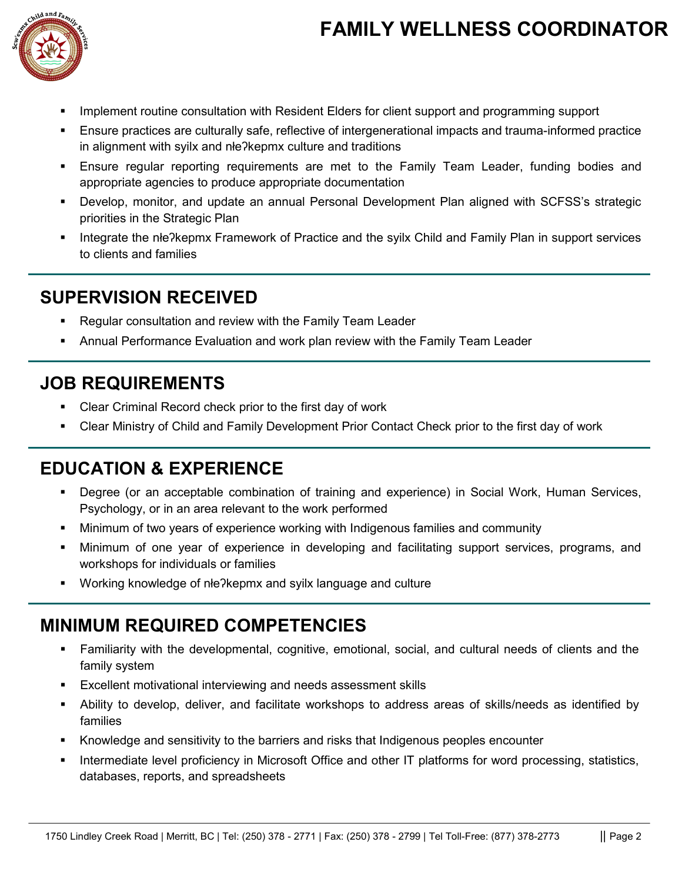# **FAMILY WELLNESS COORDINATOR**



- Implement routine consultation with Resident Elders for client support and programming support
- Ensure practices are culturally safe, reflective of intergenerational impacts and trauma-informed practice in alignment with syilx and nłeʔkepmx culture and traditions
- Ensure regular reporting requirements are met to the Family Team Leader, funding bodies and appropriate agencies to produce appropriate documentation
- Develop, monitor, and update an annual Personal Development Plan aligned with SCFSS's strategic priorities in the Strategic Plan
- Integrate the nłeʔkepmx Framework of Practice and the syilx Child and Family Plan in support services to clients and families

## **SUPERVISION RECEIVED**

- Regular consultation and review with the Family Team Leader
- Annual Performance Evaluation and work plan review with the Family Team Leader

### **JOB REQUIREMENTS**

- Clear Criminal Record check prior to the first day of work
- Clear Ministry of Child and Family Development Prior Contact Check prior to the first day of work

#### **EDUCATION & EXPERIENCE**

- Degree (or an acceptable combination of training and experience) in Social Work, Human Services, Psychology, or in an area relevant to the work performed
- Minimum of two years of experience working with Indigenous families and community
- Minimum of one year of experience in developing and facilitating support services, programs, and workshops for individuals or families
- Working knowledge of nłe?kepmx and syilx language and culture

#### **MINIMUM REQUIRED COMPETENCIES**

- Familiarity with the developmental, cognitive, emotional, social, and cultural needs of clients and the family system
- Excellent motivational interviewing and needs assessment skills
- Ability to develop, deliver, and facilitate workshops to address areas of skills/needs as identified by families
- Knowledge and sensitivity to the barriers and risks that Indigenous peoples encounter
- Intermediate level proficiency in Microsoft Office and other IT platforms for word processing, statistics, databases, reports, and spreadsheets